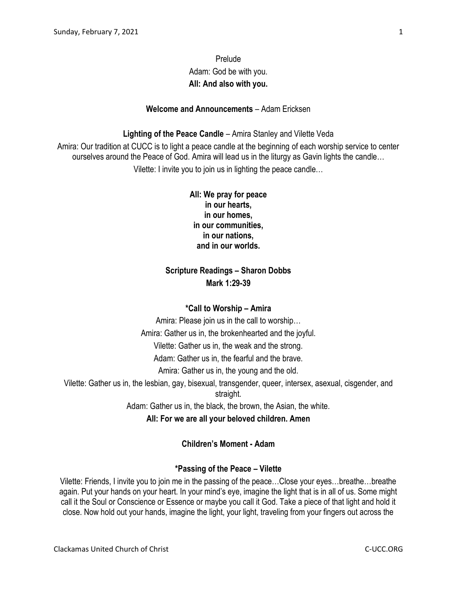# Prelude Adam: God be with you. **All: And also with you.**

#### **Welcome and Announcements** – Adam Ericksen

#### **Lighting of the Peace Candle** – Amira Stanley and Vilette Veda

Amira: Our tradition at CUCC is to light a peace candle at the beginning of each worship service to center ourselves around the Peace of God. Amira will lead us in the liturgy as Gavin lights the candle… Vilette: I invite you to join us in lighting the peace candle…

> **All: We pray for peace in our hearts, in our homes, in our communities, in our nations, and in our worlds.**

## **Scripture Readings – Sharon Dobbs Mark 1:29-39**

#### **\*Call to Worship – Amira**

Amira: Please join us in the call to worship… Amira: Gather us in, the brokenhearted and the joyful. Vilette: Gather us in, the weak and the strong. Adam: Gather us in, the fearful and the brave. Amira: Gather us in, the young and the old. Vilette: Gather us in, the lesbian, gay, bisexual, transgender, queer, intersex, asexual, cisgender, and straight.

Adam: Gather us in, the black, the brown, the Asian, the white.

**All: For we are all your beloved children. Amen**

### **Children's Moment - Adam**

#### **\*Passing of the Peace – Vilette**

Vilette: Friends, I invite you to join me in the passing of the peace…Close your eyes…breathe…breathe again. Put your hands on your heart. In your mind's eye, imagine the light that is in all of us. Some might call it the Soul or Conscience or Essence or maybe you call it God. Take a piece of that light and hold it close. Now hold out your hands, imagine the light, your light, traveling from your fingers out across the